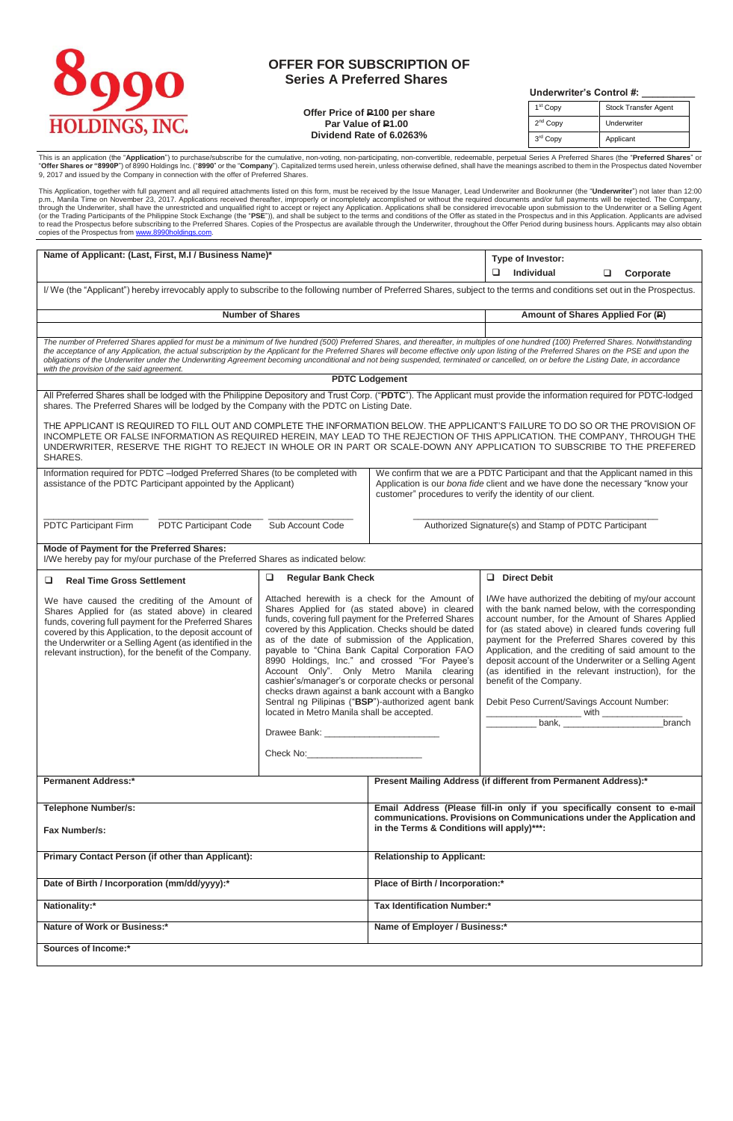## QO **HOLDINGS, INC.**

## **OFFER FOR SUBSCRIPTION OF Series A Preferred Shares**

**Offer Price of P100 per share Par Value of P1.00 Dividend Rate of 6.0263%**

 **Underwriter's Control #: \_\_\_\_\_\_\_\_\_\_**

| 1 <sup>st</sup> Copy | <b>Stock Transfer Agent</b> |  |
|----------------------|-----------------------------|--|
| 2 <sup>nd</sup> Copy | Underwriter                 |  |
| 3 <sup>rd</sup> Copy | Applicant                   |  |

This is an application (the "**Application**") to purchase/subscribe for the cumulative, non-voting, non-participating, non-convertible, redeemable, perpetual Series A Preferred Shares (the "**Preferred Shares**" or<br>"Offer Sha

This Application, together with full payment and all required attachments listed on this form, must be received by the Issue Manager, Lead Underwriter and Bookrunner (the "**Underwriter**") not later than 12:00<br>p.m., Manila

| Name of Applicant: (Last, First, M.I / Business Name)*                                                                                                                                                                                                                                                                                                                                                                                                                                                                                                                                                                         |                                                                                                                                                                                                                                                                                                                                                                                                                                                                                                                                                                                                                                                                                                                                                                                                                                                                        | Type of Investor:                                                                                                                                  |                                                                                                                                                                                                                                                                                                                                                                                                                                                                                                                                      |  |
|--------------------------------------------------------------------------------------------------------------------------------------------------------------------------------------------------------------------------------------------------------------------------------------------------------------------------------------------------------------------------------------------------------------------------------------------------------------------------------------------------------------------------------------------------------------------------------------------------------------------------------|------------------------------------------------------------------------------------------------------------------------------------------------------------------------------------------------------------------------------------------------------------------------------------------------------------------------------------------------------------------------------------------------------------------------------------------------------------------------------------------------------------------------------------------------------------------------------------------------------------------------------------------------------------------------------------------------------------------------------------------------------------------------------------------------------------------------------------------------------------------------|----------------------------------------------------------------------------------------------------------------------------------------------------|--------------------------------------------------------------------------------------------------------------------------------------------------------------------------------------------------------------------------------------------------------------------------------------------------------------------------------------------------------------------------------------------------------------------------------------------------------------------------------------------------------------------------------------|--|
|                                                                                                                                                                                                                                                                                                                                                                                                                                                                                                                                                                                                                                |                                                                                                                                                                                                                                                                                                                                                                                                                                                                                                                                                                                                                                                                                                                                                                                                                                                                        | Individual<br>$\Box$<br>Corporate                                                                                                                  |                                                                                                                                                                                                                                                                                                                                                                                                                                                                                                                                      |  |
| I/We (the "Applicant") hereby irrevocably apply to subscribe to the following number of Preferred Shares, subject to the terms and conditions set out in the Prospectus.                                                                                                                                                                                                                                                                                                                                                                                                                                                       |                                                                                                                                                                                                                                                                                                                                                                                                                                                                                                                                                                                                                                                                                                                                                                                                                                                                        |                                                                                                                                                    |                                                                                                                                                                                                                                                                                                                                                                                                                                                                                                                                      |  |
|                                                                                                                                                                                                                                                                                                                                                                                                                                                                                                                                                                                                                                | <b>Number of Shares</b>                                                                                                                                                                                                                                                                                                                                                                                                                                                                                                                                                                                                                                                                                                                                                                                                                                                |                                                                                                                                                    | Amount of Shares Applied For (P)                                                                                                                                                                                                                                                                                                                                                                                                                                                                                                     |  |
|                                                                                                                                                                                                                                                                                                                                                                                                                                                                                                                                                                                                                                |                                                                                                                                                                                                                                                                                                                                                                                                                                                                                                                                                                                                                                                                                                                                                                                                                                                                        |                                                                                                                                                    |                                                                                                                                                                                                                                                                                                                                                                                                                                                                                                                                      |  |
| The number of Preferred Shares applied for must be a minimum of five hundred (500) Preferred Shares, and thereafter, in multiples of one hundred (100) Preferred Shares. Notwithstanding<br>the acceptance of any Application, the actual subscription by the Applicant for the Preferred Shares will become effective only upon listing of the Preferred Shares on the PSE and upon the<br>obligations of the Underwriter under the Underwriting Agreement becoming unconditional and not being suspended, terminated or cancelled, on or before the Listing Date, in accordance<br>with the provision of the said agreement. |                                                                                                                                                                                                                                                                                                                                                                                                                                                                                                                                                                                                                                                                                                                                                                                                                                                                        |                                                                                                                                                    |                                                                                                                                                                                                                                                                                                                                                                                                                                                                                                                                      |  |
|                                                                                                                                                                                                                                                                                                                                                                                                                                                                                                                                                                                                                                |                                                                                                                                                                                                                                                                                                                                                                                                                                                                                                                                                                                                                                                                                                                                                                                                                                                                        | <b>PDTC Lodgement</b>                                                                                                                              |                                                                                                                                                                                                                                                                                                                                                                                                                                                                                                                                      |  |
| All Preferred Shares shall be lodged with the Philippine Depository and Trust Corp. ("PDTC"). The Applicant must provide the information required for PDTC-lodged<br>shares. The Preferred Shares will be lodged by the Company with the PDTC on Listing Date.                                                                                                                                                                                                                                                                                                                                                                 |                                                                                                                                                                                                                                                                                                                                                                                                                                                                                                                                                                                                                                                                                                                                                                                                                                                                        |                                                                                                                                                    |                                                                                                                                                                                                                                                                                                                                                                                                                                                                                                                                      |  |
| THE APPLICANT IS REQUIRED TO FILL OUT AND COMPLETE THE INFORMATION BELOW. THE APPLICANT'S FAILURE TO DO SO OR THE PROVISION OF<br>INCOMPLETE OR FALSE INFORMATION AS REQUIRED HEREIN, MAY LEAD TO THE REJECTION OF THIS APPLICATION. THE COMPANY, THROUGH THE<br>UNDERWRITER, RESERVE THE RIGHT TO REJECT IN WHOLE OR IN PART OR SCALE-DOWN ANY APPLICATION TO SUBSCRIBE TO THE PREFERED<br>SHARES.                                                                                                                                                                                                                            |                                                                                                                                                                                                                                                                                                                                                                                                                                                                                                                                                                                                                                                                                                                                                                                                                                                                        |                                                                                                                                                    |                                                                                                                                                                                                                                                                                                                                                                                                                                                                                                                                      |  |
| Information required for PDTC -lodged Preferred Shares (to be completed with<br>assistance of the PDTC Participant appointed by the Applicant)                                                                                                                                                                                                                                                                                                                                                                                                                                                                                 |                                                                                                                                                                                                                                                                                                                                                                                                                                                                                                                                                                                                                                                                                                                                                                                                                                                                        |                                                                                                                                                    | We confirm that we are a PDTC Participant and that the Applicant named in this<br>Application is our bona fide client and we have done the necessary "know your<br>customer" procedures to verify the identity of our client.                                                                                                                                                                                                                                                                                                        |  |
| PDTC Participant Firm<br><b>PDTC Participant Code</b>                                                                                                                                                                                                                                                                                                                                                                                                                                                                                                                                                                          | Sub Account Code                                                                                                                                                                                                                                                                                                                                                                                                                                                                                                                                                                                                                                                                                                                                                                                                                                                       |                                                                                                                                                    | Authorized Signature(s) and Stamp of PDTC Participant                                                                                                                                                                                                                                                                                                                                                                                                                                                                                |  |
| Mode of Payment for the Preferred Shares:<br>I/We hereby pay for my/our purchase of the Preferred Shares as indicated below:                                                                                                                                                                                                                                                                                                                                                                                                                                                                                                   |                                                                                                                                                                                                                                                                                                                                                                                                                                                                                                                                                                                                                                                                                                                                                                                                                                                                        |                                                                                                                                                    |                                                                                                                                                                                                                                                                                                                                                                                                                                                                                                                                      |  |
| □<br><b>Real Time Gross Settlement</b>                                                                                                                                                                                                                                                                                                                                                                                                                                                                                                                                                                                         | ❏<br><b>Regular Bank Check</b>                                                                                                                                                                                                                                                                                                                                                                                                                                                                                                                                                                                                                                                                                                                                                                                                                                         |                                                                                                                                                    | D Direct Debit                                                                                                                                                                                                                                                                                                                                                                                                                                                                                                                       |  |
| We have caused the crediting of the Amount of<br>Shares Applied for (as stated above) in cleared<br>funds, covering full payment for the Preferred Shares<br>covered by this Application, to the deposit account of<br>the Underwriter or a Selling Agent (as identified in the<br>relevant instruction), for the benefit of the Company.                                                                                                                                                                                                                                                                                      | Attached herewith is a check for the Amount of<br>Shares Applied for (as stated above) in cleared<br>funds, covering full payment for the Preferred Shares<br>covered by this Application. Checks should be dated<br>as of the date of submission of the Application,<br>payable to "China Bank Capital Corporation FAO<br>8990 Holdings, Inc." and crossed "For Payee's<br>Account Only". Only Metro Manila clearing<br>cashier's/manager's or corporate checks or personal<br>checks drawn against a bank account with a Bangko<br>Sentral ng Pilipinas ("BSP")-authorized agent bank<br>located in Metro Manila shall be accepted.<br>Check No: the contract of the contract of the contract of the contract of the contract of the contract of the contract of the contract of the contract of the contract of the contract of the contract of the contract of the |                                                                                                                                                    | I/We have authorized the debiting of my/our account<br>with the bank named below, with the corresponding<br>account number, for the Amount of Shares Applied<br>for (as stated above) in cleared funds covering full<br>payment for the Preferred Shares covered by this<br>Application, and the crediting of said amount to the<br>deposit account of the Underwriter or a Selling Agent<br>(as identified in the relevant instruction), for the<br>benefit of the Company.<br>Debit Peso Current/Savings Account Number:<br>branch |  |
| <b>Permanent Address:*</b>                                                                                                                                                                                                                                                                                                                                                                                                                                                                                                                                                                                                     |                                                                                                                                                                                                                                                                                                                                                                                                                                                                                                                                                                                                                                                                                                                                                                                                                                                                        |                                                                                                                                                    | Present Mailing Address (if different from Permanent Address):*                                                                                                                                                                                                                                                                                                                                                                                                                                                                      |  |
| <b>Telephone Number/s:</b>                                                                                                                                                                                                                                                                                                                                                                                                                                                                                                                                                                                                     |                                                                                                                                                                                                                                                                                                                                                                                                                                                                                                                                                                                                                                                                                                                                                                                                                                                                        | Email Address (Please fill-in only if you specifically consent to e-mail<br>communications. Provisions on Communications under the Application and |                                                                                                                                                                                                                                                                                                                                                                                                                                                                                                                                      |  |
| Fax Number/s:                                                                                                                                                                                                                                                                                                                                                                                                                                                                                                                                                                                                                  |                                                                                                                                                                                                                                                                                                                                                                                                                                                                                                                                                                                                                                                                                                                                                                                                                                                                        | in the Terms & Conditions will apply)***:                                                                                                          |                                                                                                                                                                                                                                                                                                                                                                                                                                                                                                                                      |  |
| Primary Contact Person (if other than Applicant):                                                                                                                                                                                                                                                                                                                                                                                                                                                                                                                                                                              |                                                                                                                                                                                                                                                                                                                                                                                                                                                                                                                                                                                                                                                                                                                                                                                                                                                                        | <b>Relationship to Applicant:</b>                                                                                                                  |                                                                                                                                                                                                                                                                                                                                                                                                                                                                                                                                      |  |
| Date of Birth / Incorporation (mm/dd/yyyy):*                                                                                                                                                                                                                                                                                                                                                                                                                                                                                                                                                                                   |                                                                                                                                                                                                                                                                                                                                                                                                                                                                                                                                                                                                                                                                                                                                                                                                                                                                        | Place of Birth / Incorporation:*                                                                                                                   |                                                                                                                                                                                                                                                                                                                                                                                                                                                                                                                                      |  |
| Nationality:*                                                                                                                                                                                                                                                                                                                                                                                                                                                                                                                                                                                                                  |                                                                                                                                                                                                                                                                                                                                                                                                                                                                                                                                                                                                                                                                                                                                                                                                                                                                        | <b>Tax Identification Number:*</b>                                                                                                                 |                                                                                                                                                                                                                                                                                                                                                                                                                                                                                                                                      |  |
| Nature of Work or Business:*                                                                                                                                                                                                                                                                                                                                                                                                                                                                                                                                                                                                   |                                                                                                                                                                                                                                                                                                                                                                                                                                                                                                                                                                                                                                                                                                                                                                                                                                                                        | Name of Employer / Business:*                                                                                                                      |                                                                                                                                                                                                                                                                                                                                                                                                                                                                                                                                      |  |
| Sources of Income:*                                                                                                                                                                                                                                                                                                                                                                                                                                                                                                                                                                                                            |                                                                                                                                                                                                                                                                                                                                                                                                                                                                                                                                                                                                                                                                                                                                                                                                                                                                        |                                                                                                                                                    |                                                                                                                                                                                                                                                                                                                                                                                                                                                                                                                                      |  |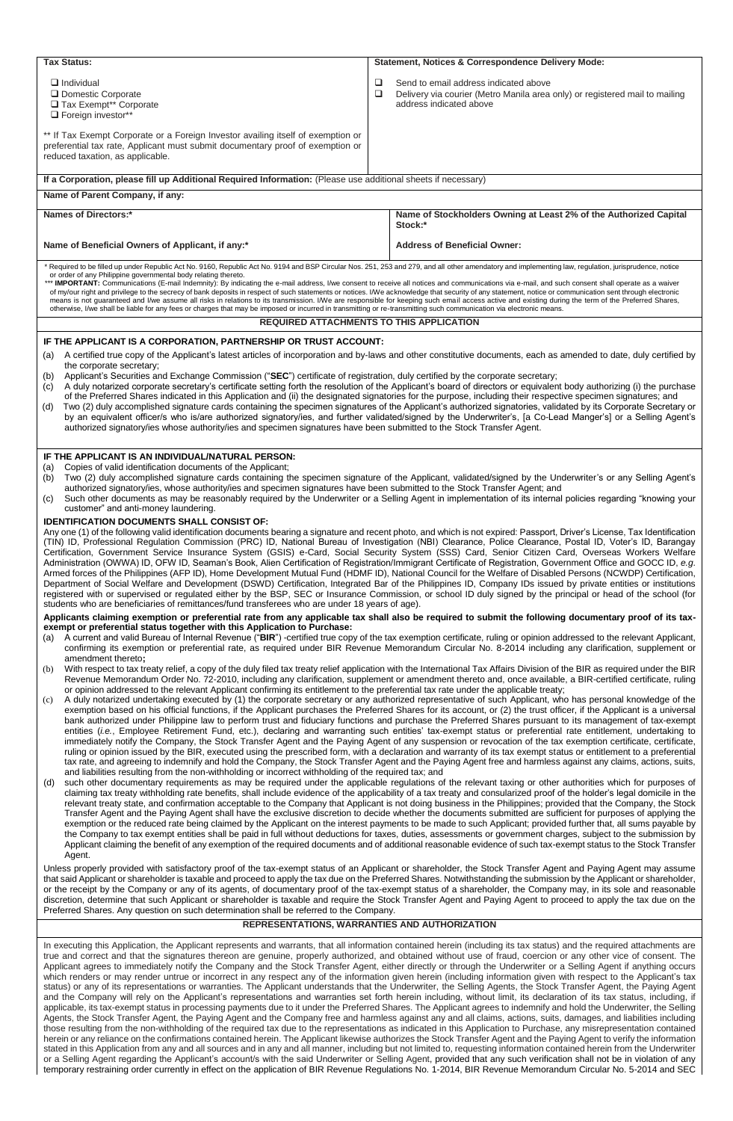| Tax Status:                                                                                                                                                                                                                                                                                                                                                                                                                                                                                                                                                                                                                                                                                                                                                                                                                                                                                                                                                                                                                                                                                                                                                                                                                                                                                                                                                                                                                                                                                                                                                                                                                                                                                                                                                                                                                                                                                                                                                                                                                                                                      | Statement, Notices & Correspondence Delivery Mode:                                                                                                                                                                                                                                                                                                                                                                                                                                                                                                                                                                                                                                                                                                                                                                                                                                                                                                                                                                                        |  |  |
|----------------------------------------------------------------------------------------------------------------------------------------------------------------------------------------------------------------------------------------------------------------------------------------------------------------------------------------------------------------------------------------------------------------------------------------------------------------------------------------------------------------------------------------------------------------------------------------------------------------------------------------------------------------------------------------------------------------------------------------------------------------------------------------------------------------------------------------------------------------------------------------------------------------------------------------------------------------------------------------------------------------------------------------------------------------------------------------------------------------------------------------------------------------------------------------------------------------------------------------------------------------------------------------------------------------------------------------------------------------------------------------------------------------------------------------------------------------------------------------------------------------------------------------------------------------------------------------------------------------------------------------------------------------------------------------------------------------------------------------------------------------------------------------------------------------------------------------------------------------------------------------------------------------------------------------------------------------------------------------------------------------------------------------------------------------------------------|-------------------------------------------------------------------------------------------------------------------------------------------------------------------------------------------------------------------------------------------------------------------------------------------------------------------------------------------------------------------------------------------------------------------------------------------------------------------------------------------------------------------------------------------------------------------------------------------------------------------------------------------------------------------------------------------------------------------------------------------------------------------------------------------------------------------------------------------------------------------------------------------------------------------------------------------------------------------------------------------------------------------------------------------|--|--|
| $\Box$ Individual<br>□ Domestic Corporate<br>Tax Exempt** Corporate<br>Foreign investor**                                                                                                                                                                                                                                                                                                                                                                                                                                                                                                                                                                                                                                                                                                                                                                                                                                                                                                                                                                                                                                                                                                                                                                                                                                                                                                                                                                                                                                                                                                                                                                                                                                                                                                                                                                                                                                                                                                                                                                                        | □<br>Send to email address indicated above<br>□<br>Delivery via courier (Metro Manila area only) or registered mail to mailing<br>address indicated above                                                                                                                                                                                                                                                                                                                                                                                                                                                                                                                                                                                                                                                                                                                                                                                                                                                                                 |  |  |
| ** If Tax Exempt Corporate or a Foreign Investor availing itself of exemption or<br>preferential tax rate, Applicant must submit documentary proof of exemption or<br>reduced taxation, as applicable.                                                                                                                                                                                                                                                                                                                                                                                                                                                                                                                                                                                                                                                                                                                                                                                                                                                                                                                                                                                                                                                                                                                                                                                                                                                                                                                                                                                                                                                                                                                                                                                                                                                                                                                                                                                                                                                                           |                                                                                                                                                                                                                                                                                                                                                                                                                                                                                                                                                                                                                                                                                                                                                                                                                                                                                                                                                                                                                                           |  |  |
| If a Corporation, please fill up Additional Required Information: (Please use additional sheets if necessary)                                                                                                                                                                                                                                                                                                                                                                                                                                                                                                                                                                                                                                                                                                                                                                                                                                                                                                                                                                                                                                                                                                                                                                                                                                                                                                                                                                                                                                                                                                                                                                                                                                                                                                                                                                                                                                                                                                                                                                    |                                                                                                                                                                                                                                                                                                                                                                                                                                                                                                                                                                                                                                                                                                                                                                                                                                                                                                                                                                                                                                           |  |  |
| Name of Parent Company, if any:                                                                                                                                                                                                                                                                                                                                                                                                                                                                                                                                                                                                                                                                                                                                                                                                                                                                                                                                                                                                                                                                                                                                                                                                                                                                                                                                                                                                                                                                                                                                                                                                                                                                                                                                                                                                                                                                                                                                                                                                                                                  |                                                                                                                                                                                                                                                                                                                                                                                                                                                                                                                                                                                                                                                                                                                                                                                                                                                                                                                                                                                                                                           |  |  |
| Names of Directors:*                                                                                                                                                                                                                                                                                                                                                                                                                                                                                                                                                                                                                                                                                                                                                                                                                                                                                                                                                                                                                                                                                                                                                                                                                                                                                                                                                                                                                                                                                                                                                                                                                                                                                                                                                                                                                                                                                                                                                                                                                                                             | Name of Stockholders Owning at Least 2% of the Authorized Capital<br>Stock:*                                                                                                                                                                                                                                                                                                                                                                                                                                                                                                                                                                                                                                                                                                                                                                                                                                                                                                                                                              |  |  |
| Name of Beneficial Owners of Applicant, if any:*                                                                                                                                                                                                                                                                                                                                                                                                                                                                                                                                                                                                                                                                                                                                                                                                                                                                                                                                                                                                                                                                                                                                                                                                                                                                                                                                                                                                                                                                                                                                                                                                                                                                                                                                                                                                                                                                                                                                                                                                                                 | <b>Address of Beneficial Owner:</b>                                                                                                                                                                                                                                                                                                                                                                                                                                                                                                                                                                                                                                                                                                                                                                                                                                                                                                                                                                                                       |  |  |
| * Required to be filled up under Republic Act No. 9160, Republic Act No. 9194 and BSP Circular Nos. 251, 253 and 279, and all other amendatory and implementing law, regulation, jurisprudence, notice<br>or order of any Philippine governmental body relating thereto.<br>*** IMPORTANT: Communications (E-mail Indemnity): By indicating the e-mail address, I/we consent to receive all notices and communications via e-mail, and such consent shall operate as a waiver<br>of my/our right and privilege to the secrecy of bank deposits in respect of such statements or notices. I/We acknowledge that security of any statement, notice or communication sent through electronic<br>means is not quaranteed and I/we assume all risks in relations to its transmission. I/We are responsible for keeping such email access active and existing during the term of the Preferred Shares,<br>otherwise, I/we shall be liable for any fees or charges that may be imposed or incurred in transmitting or re-transmitting such communication via electronic means.                                                                                                                                                                                                                                                                                                                                                                                                                                                                                                                                                                                                                                                                                                                                                                                                                                                                                                                                                                                                          |                                                                                                                                                                                                                                                                                                                                                                                                                                                                                                                                                                                                                                                                                                                                                                                                                                                                                                                                                                                                                                           |  |  |
|                                                                                                                                                                                                                                                                                                                                                                                                                                                                                                                                                                                                                                                                                                                                                                                                                                                                                                                                                                                                                                                                                                                                                                                                                                                                                                                                                                                                                                                                                                                                                                                                                                                                                                                                                                                                                                                                                                                                                                                                                                                                                  | <b>REQUIRED ATTACHMENTS TO THIS APPLICATION</b>                                                                                                                                                                                                                                                                                                                                                                                                                                                                                                                                                                                                                                                                                                                                                                                                                                                                                                                                                                                           |  |  |
| IF THE APPLICANT IS A CORPORATION, PARTNERSHIP OR TRUST ACCOUNT:<br>A certified true copy of the Applicant's latest articles of incorporation and by-laws and other constitutive documents, each as amended to date, duly certified by<br>(a)<br>the corporate secretary;<br>Applicant's Securities and Exchange Commission ("SEC") certificate of registration, duly certified by the corporate secretary;<br>(b)<br>A duly notarized corporate secretary's certificate setting forth the resolution of the Applicant's board of directors or equivalent body authorizing (i) the purchase<br>(c)<br>of the Preferred Shares indicated in this Application and (ii) the designated signatories for the purpose, including their respective specimen signatures; and<br>Two (2) duly accomplished signature cards containing the specimen signatures of the Applicant's authorized signatories, validated by its Corporate Secretary or<br>(d)<br>by an equivalent officer/s who is/are authorized signatory/ies, and further validated/signed by the Underwriter's, [a Co-Lead Manger's] or a Selling Agent's<br>authorized signatory/ies whose authority/ies and specimen signatures have been submitted to the Stock Transfer Agent.                                                                                                                                                                                                                                                                                                                                                                                                                                                                                                                                                                                                                                                                                                                                                                                                                                          |                                                                                                                                                                                                                                                                                                                                                                                                                                                                                                                                                                                                                                                                                                                                                                                                                                                                                                                                                                                                                                           |  |  |
| Copies of valid identification documents of the Applicant;<br>(a)<br>Two (2) duly accomplished signature cards containing the specimen signature of the Applicant, validated/signed by the Underwriter's or any Selling Agent's<br>(b)<br>authorized signatory/ies, whose authority/ies and specimen signatures have been submitted to the Stock Transfer Agent; and<br>Such other documents as may be reasonably required by the Underwriter or a Selling Agent in implementation of its internal policies regarding "knowing your<br>(c)<br>customer" and anti-money laundering.<br><b>IDENTIFICATION DOCUMENTS SHALL CONSIST OF:</b><br>Any one (1) of the following valid identification documents bearing a signature and recent photo, and which is not expired: Passport, Driver's License, Tax Identification<br>(TIN) ID, Professional Regulation Commission (PRC) ID, National Bureau of Investigation (NBI) Clearance, Police Clearance, Postal ID, Voter's ID, Barangay<br>Certification, Government Service Insurance System (GSIS) e-Card, Social Security System (SSS) Card, Senior Citizen Card, Overseas Workers Welfare<br>Administration (OWWA) ID, OFW ID, Seaman's Book, Alien Certification of Registration/Immigrant Certificate of Registration, Government Office and GOCC ID, e.g.<br>Armed forces of the Philippines (AFP ID), Home Development Mutual Fund (HDMF ID), National Council for the Welfare of Disabled Persons (NCWDP) Certification,<br>Department of Social Welfare and Development (DSWD) Certification, Integrated Bar of the Philippines ID, Company IDs issued by private entities or institutions<br>registered with or supervised or regulated either by the BSP, SEC or Insurance Commission, or school ID duly signed by the principal or head of the school (for<br>students who are beneficiaries of remittances/fund transferees who are under 18 years of age).<br>Applicants claiming exemption or preferential rate from any applicable tax shall also be required to submit the following documentary proof of its tax- |                                                                                                                                                                                                                                                                                                                                                                                                                                                                                                                                                                                                                                                                                                                                                                                                                                                                                                                                                                                                                                           |  |  |
| exempt or preferential status together with this Application to Purchase:<br>A current and valid Bureau of Internal Revenue ("BIR") -certified true copy of the tax exemption certificate, ruling or opinion addressed to the relevant Applicant,<br>(a)<br>confirming its exemption or preferential rate, as required under BIR Revenue Memorandum Circular No. 8-2014 including any clarification, supplement or<br>amendment thereto;                                                                                                                                                                                                                                                                                                                                                                                                                                                                                                                                                                                                                                                                                                                                                                                                                                                                                                                                                                                                                                                                                                                                                                                                                                                                                                                                                                                                                                                                                                                                                                                                                                         |                                                                                                                                                                                                                                                                                                                                                                                                                                                                                                                                                                                                                                                                                                                                                                                                                                                                                                                                                                                                                                           |  |  |
| With respect to tax treaty relief, a copy of the duly filed tax treaty relief application with the International Tax Affairs Division of the BIR as required under the BIR<br>(b)<br>Revenue Memorandum Order No. 72-2010, including any clarification, supplement or amendment thereto and, once available, a BIR-certified certificate, ruling<br>or opinion addressed to the relevant Applicant confirming its entitlement to the preferential tax rate under the applicable treaty;                                                                                                                                                                                                                                                                                                                                                                                                                                                                                                                                                                                                                                                                                                                                                                                                                                                                                                                                                                                                                                                                                                                                                                                                                                                                                                                                                                                                                                                                                                                                                                                          |                                                                                                                                                                                                                                                                                                                                                                                                                                                                                                                                                                                                                                                                                                                                                                                                                                                                                                                                                                                                                                           |  |  |
| A duly notarized undertaking executed by (1) the corporate secretary or any authorized representative of such Applicant, who has personal knowledge of the<br>(c)<br>exemption based on his official functions, if the Applicant purchases the Preferred Shares for its account, or (2) the trust officer, if the Applicant is a universal<br>bank authorized under Philippine law to perform trust and fiduciary functions and purchase the Preferred Shares pursuant to its management of tax-exempt<br>entities <i>(i.e.</i> , Employee Retirement Fund, etc.), declaring and warranting such entities' tax-exempt status or preferential rate entitlement, undertaking to<br>immediately notify the Company, the Stock Transfer Agent and the Paying Agent of any suspension or revocation of the tax exemption certificate, certificate,<br>ruling or opinion issued by the BIR, executed using the prescribed form, with a declaration and warranty of its tax exempt status or entitlement to a preferential<br>tax rate, and agreeing to indemnify and hold the Company, the Stock Transfer Agent and the Paying Agent free and harmless against any claims, actions, suits,<br>and liabilities resulting from the non-withholding or incorrect withholding of the required tax; and                                                                                                                                                                                                                                                                                                                                                                                                                                                                                                                                                                                                                                                                                                                                                                                     |                                                                                                                                                                                                                                                                                                                                                                                                                                                                                                                                                                                                                                                                                                                                                                                                                                                                                                                                                                                                                                           |  |  |
| such other documentary requirements as may be required under the applicable regulations of the relevant taxing or other authorities which for purposes of<br>(d)<br>claiming tax treaty withholding rate benefits, shall include evidence of the applicability of a tax treaty and consularized proof of the holder's legal domicile in the<br>relevant treaty state, and confirmation acceptable to the Company that Applicant is not doing business in the Philippines; provided that the Company, the Stock<br>Transfer Agent and the Paying Agent shall have the exclusive discretion to decide whether the documents submitted are sufficient for purposes of applying the<br>exemption or the reduced rate being claimed by the Applicant on the interest payments to be made to such Applicant; provided further that, all sums payable by<br>the Company to tax exempt entities shall be paid in full without deductions for taxes, duties, assessments or government charges, subject to the submission by<br>Applicant claiming the benefit of any exemption of the required documents and of additional reasonable evidence of such tax-exempt status to the Stock Transfer<br>Agent.<br>Unless properly provided with satisfactory proof of the tax-exempt status of an Applicant or shareholder, the Stock Transfer Agent and Paying Agent may assume                                                                                                                                                                                                                                                                                                                                                                                                                                                                                                                                                                                                                                                                                                               |                                                                                                                                                                                                                                                                                                                                                                                                                                                                                                                                                                                                                                                                                                                                                                                                                                                                                                                                                                                                                                           |  |  |
| that said Applicant or shareholder is taxable and proceed to apply the tax due on the Preferred Shares. Notwithstanding the submission by the Applicant or shareholder,<br>or the receipt by the Company or any of its agents, of documentary proof of the tax-exempt status of a shareholder, the Company may, in its sole and reasonable<br>discretion, determine that such Applicant or shareholder is taxable and require the Stock Transfer Agent and Paying Agent to proceed to apply the tax due on the<br>Preferred Shares. Any question on such determination shall be referred to the Company.                                                                                                                                                                                                                                                                                                                                                                                                                                                                                                                                                                                                                                                                                                                                                                                                                                                                                                                                                                                                                                                                                                                                                                                                                                                                                                                                                                                                                                                                         |                                                                                                                                                                                                                                                                                                                                                                                                                                                                                                                                                                                                                                                                                                                                                                                                                                                                                                                                                                                                                                           |  |  |
|                                                                                                                                                                                                                                                                                                                                                                                                                                                                                                                                                                                                                                                                                                                                                                                                                                                                                                                                                                                                                                                                                                                                                                                                                                                                                                                                                                                                                                                                                                                                                                                                                                                                                                                                                                                                                                                                                                                                                                                                                                                                                  | REPRESENTATIONS, WARRANTIES AND AUTHORIZATION                                                                                                                                                                                                                                                                                                                                                                                                                                                                                                                                                                                                                                                                                                                                                                                                                                                                                                                                                                                             |  |  |
|                                                                                                                                                                                                                                                                                                                                                                                                                                                                                                                                                                                                                                                                                                                                                                                                                                                                                                                                                                                                                                                                                                                                                                                                                                                                                                                                                                                                                                                                                                                                                                                                                                                                                                                                                                                                                                                                                                                                                                                                                                                                                  | In executing this Application, the Applicant represents and warrants, that all information contained herein (including its tax status) and the required attachments are<br>true and correct and that the signatures thereon are genuine, properly authorized, and obtained without use of fraud, coercion or any other vice of consent. The<br>Applicant agrees to immediately notify the Company and the Stock Transfer Agent, either directly or through the Underwriter or a Selling Agent if anything occurs<br>which renders or may render untrue or incorrect in any respect any of the information given herein (including information given with respect to the Applicant's tax<br>status) or any of its representations or warranties. The Applicant understands that the Underwriter, the Selling Agents, the Stock Transfer Agent, the Paying Agent<br>and the Company will rely on the Applicant's representations and warranties set forth herein including, without limit, its declaration of its tax status, including, if |  |  |

applicable, its tax-exempt status in processing payments due to it under the Preferred Shares. The Applicant agrees to indemnify and hold the Underwriter, the Selling Agents, the Stock Transfer Agent, the Paying Agent and the Company free and harmless against any and all claims, actions, suits, damages, and liabilities including those resulting from the non-withholding of the required tax due to the representations as indicated in this Application to Purchase, any misrepresentation contained herein or any reliance on the confirmations contained herein. The Applicant likewise authorizes the Stock Transfer Agent and the Paying Agent to verify the information stated in this Application from any and all sources and in any and all manner, including but not limited to, requesting information contained herein from the Underwriter or a Selling Agent regarding the Applicant's account/s with the said Underwriter or Selling Agent, provided that any such verification shall not be in violation of any temporary restraining order currently in effect on the application of BIR Revenue Regulations No. 1-2014, BIR Revenue Memorandum Circular No. 5-2014 and SEC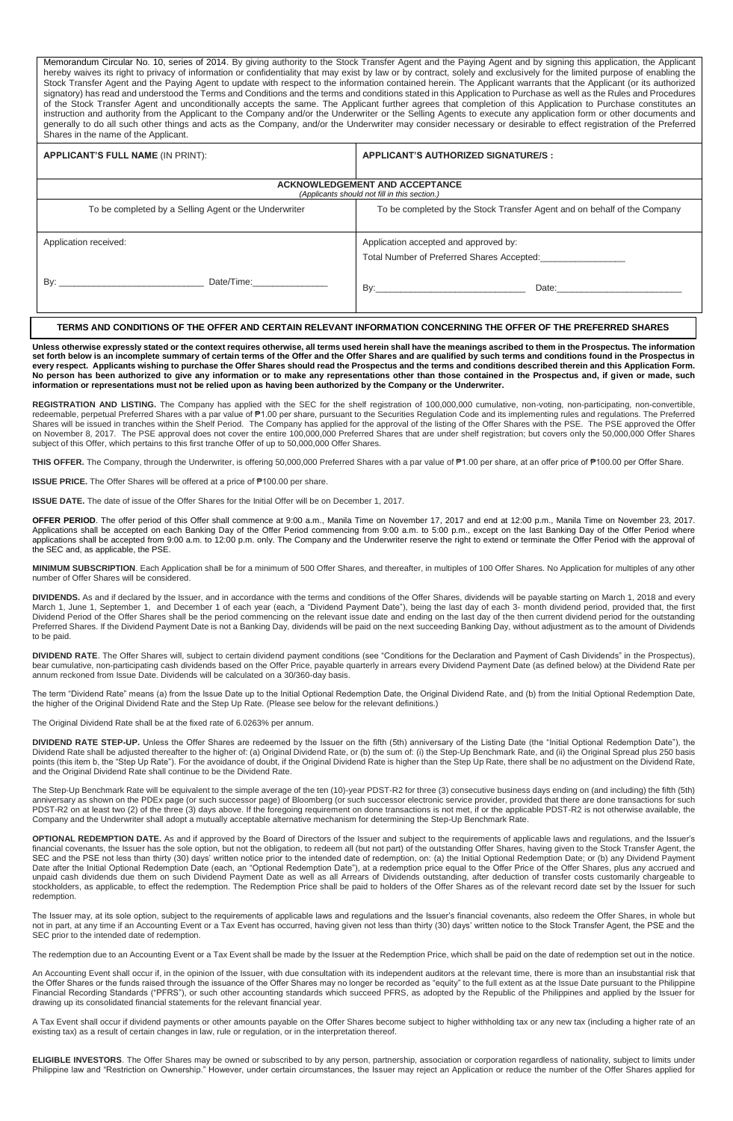Memorandum Circular No. 10, series of 2014. By giving authority to the Stock Transfer Agent and the Paying Agent and by signing this application, the Applicant hereby waives its right to privacy of information or confidentiality that may exist by law or by contract, solely and exclusively for the limited purpose of enabling the Stock Transfer Agent and the Paying Agent to update with respect to the information contained herein. The Applicant warrants that the Applicant (or its authorized signatory) has read and understood the Terms and Conditions and the terms and conditions stated in this Application to Purchase as well as the Rules and Procedures of the Stock Transfer Agent and unconditionally accepts the same. The Applicant further agrees that completion of this Application to Purchase constitutes an instruction and authority from the Applicant to the Company and/or the Underwriter or the Selling Agents to execute any application form or other documents and generally to do all such other things and acts as the Company, and/or the Underwriter may consider necessary or desirable to effect registration of the Preferred Shares in the name of the Applicant.

| <b>APPLICANT'S FULL NAME (IN PRINT):</b>                                               | <b>APPLICANT'S AUTHORIZED SIGNATURE/S :</b>                              |  |  |
|----------------------------------------------------------------------------------------|--------------------------------------------------------------------------|--|--|
| <b>ACKNOWLEDGEMENT AND ACCEPTANCE</b><br>(Applicants should not fill in this section.) |                                                                          |  |  |
| To be completed by a Selling Agent or the Underwriter                                  | To be completed by the Stock Transfer Agent and on behalf of the Company |  |  |
| Application received:                                                                  | Application accepted and approved by:                                    |  |  |
| $\mathsf{By:}\n$<br>Date/Time: 2000                                                    |                                                                          |  |  |

## **TERMS AND CONDITIONS OF THE OFFER AND CERTAIN RELEVANT INFORMATION CONCERNING THE OFFER OF THE PREFERRED SHARES**

**Unless otherwise expressly stated or the context requires otherwise, all terms used herein shall have the meanings ascribed to them in the Prospectus. The information set forth below is an incomplete summary of certain terms of the Offer and the Offer Shares and are qualified by such terms and conditions found in the Prospectus in every respect. Applicants wishing to purchase the Offer Shares should read the Prospectus and the terms and conditions described therein and this Application Form. No person has been authorized to give any information or to make any representations other than those contained in the Prospectus and, if given or made, such information or representations must not be relied upon as having been authorized by the Company or the Underwriter.**

REGISTRATION AND LISTING. The Company has applied with the SEC for the shelf registration of 100,000,000 cumulative, non-voting, non-participating, non-convertible, redeemable, perpetual Preferred Shares with a par value of ₱1.00 per share, pursuant to the Securities Regulation Code and its implementing rules and regulations. The Preferred Shares will be issued in tranches within the Shelf Period. The Company has applied for the approval of the listing of the Offer Shares with the PSE. The PSE approved the Offer on November 8, 2017. The PSE approval does not cover the entire 100,000,000 Preferred Shares that are under shelf registration; but covers only the 50,000,000 Offer Shares subject of this Offer, which pertains to this first tranche Offer of up to 50,000,000 Offer Shares.

**THIS OFFER.** The Company, through the Underwriter, is offering 50,000,000 Preferred Shares with a par value of ₱1.00 per share, at an offer price of ₱100.00 per Offer Share.

**ISSUE PRICE.** The Offer Shares will be offered at a price of ₱100.00 per share.

**ISSUE DATE.** The date of issue of the Offer Shares for the Initial Offer will be on December 1, 2017.

**OFFER PERIOD**. The offer period of this Offer shall commence at 9:00 a.m., Manila Time on November 17, 2017 and end at 12:00 p.m., Manila Time on November 23, 2017. Applications shall be accepted on each Banking Day of the Offer Period commencing from 9:00 a.m. to 5:00 p.m., except on the last Banking Day of the Offer Period where applications shall be accepted from 9:00 a.m. to 12:00 p.m. only. The Company and the Underwriter reserve the right to extend or terminate the Offer Period with the approval of the SEC and, as applicable, the PSE.

**MINIMUM SUBSCRIPTION**. Each Application shall be for a minimum of 500 Offer Shares, and thereafter, in multiples of 100 Offer Shares. No Application for multiples of any other number of Offer Shares will be considered.

**DIVIDENDS.** As and if declared by the Issuer, and in accordance with the terms and conditions of the Offer Shares, dividends will be payable starting on March 1, 2018 and every March 1, June 1, September 1, and December 1 of each year (each, a "Dividend Payment Date"), being the last day of each 3- month dividend period, provided that, the first Dividend Period of the Offer Shares shall be the period commencing on the relevant issue date and ending on the last day of the then current dividend period for the outstanding Preferred Shares. If the Dividend Payment Date is not a Banking Day, dividends will be paid on the next succeeding Banking Day, without adjustment as to the amount of Dividends to be paid.

**DIVIDEND RATE**. The Offer Shares will, subject to certain dividend payment conditions (see "Conditions for the Declaration and Payment of Cash Dividends" in the Prospectus), bear cumulative, non-participating cash dividends based on the Offer Price, payable quarterly in arrears every Dividend Payment Date (as defined below) at the Dividend Rate per annum reckoned from Issue Date. Dividends will be calculated on a 30/360-day basis.

The term "Dividend Rate" means (a) from the Issue Date up to the Initial Optional Redemption Date, the Original Dividend Rate, and (b) from the Initial Optional Redemption Date, the higher of the Original Dividend Rate and the Step Up Rate. (Please see below for the relevant definitions.)

The Original Dividend Rate shall be at the fixed rate of 6.0263% per annum.

**DIVIDEND RATE STEP-UP.** Unless the Offer Shares are redeemed by the Issuer on the fifth (5th) anniversary of the Listing Date (the "Initial Optional Redemption Date"), the Dividend Rate shall be adjusted thereafter to the higher of: (a) Original Dividend Rate, or (b) the sum of: (i) the Step-Up Benchmark Rate, and (ii) the Original Spread plus 250 basis points (this item b, the "Step Up Rate"). For the avoidance of doubt, if the Original Dividend Rate is higher than the Step Up Rate, there shall be no adjustment on the Dividend Rate, and the Original Dividend Rate shall continue to be the Dividend Rate.

The Step-Up Benchmark Rate will be equivalent to the simple average of the ten (10)-year PDST-R2 for three (3) consecutive business days ending on (and including) the fifth (5th) anniversary as shown on the PDEx page (or such successor page) of Bloomberg (or such successor electronic service provider, provided that there are done transactions for such PDST-R2 on at least two (2) of the three (3) days above. If the foregoing requirement on done transactions is not met, if or the applicable PDST-R2 is not otherwise available, the Company and the Underwriter shall adopt a mutually acceptable alternative mechanism for determining the Step-Up Benchmark Rate.

**OPTIONAL REDEMPTION DATE.** As and if approved by the Board of Directors of the Issuer and subject to the requirements of applicable laws and regulations, and the Issuer's financial covenants, the Issuer has the sole option, but not the obligation, to redeem all (but not part) of the outstanding Offer Shares, having given to the Stock Transfer Agent, the SEC and the PSE not less than thirty (30) days' written notice prior to the intended date of redemption, on: (a) the Initial Optional Redemption Date; or (b) any Dividend Payment Date after the Initial Optional Redemption Date (each, an "Optional Redemption Date"), at a redemption price equal to the Offer Price of the Offer Shares, plus any accrued and unpaid cash dividends due them on such Dividend Payment Date as well as all Arrears of Dividends outstanding, after deduction of transfer costs customarily chargeable to stockholders, as applicable, to effect the redemption. The Redemption Price shall be paid to holders of the Offer Shares as of the relevant record date set by the Issuer for such redemption.

The Issuer may, at its sole option, subject to the requirements of applicable laws and regulations and the Issuer's financial covenants, also redeem the Offer Shares, in whole but not in part, at any time if an Accounting Event or a Tax Event has occurred, having given not less than thirty (30) days' written notice to the Stock Transfer Agent, the PSE and the SEC prior to the intended date of redemption.

The redemption due to an Accounting Event or a Tax Event shall be made by the Issuer at the Redemption Price, which shall be paid on the date of redemption set out in the notice.

An Accounting Event shall occur if, in the opinion of the Issuer, with due consultation with its independent auditors at the relevant time, there is more than an insubstantial risk that the Offer Shares or the funds raised through the issuance of the Offer Shares may no longer be recorded as "equity" to the full extent as at the Issue Date pursuant to the Philippine Financial Recording Standards ("PFRS"), or such other accounting standards which succeed PFRS, as adopted by the Republic of the Philippines and applied by the Issuer for drawing up its consolidated financial statements for the relevant financial year.

A Tax Event shall occur if dividend payments or other amounts payable on the Offer Shares become subject to higher withholding tax or any new tax (including a higher rate of an existing tax) as a result of certain changes in law, rule or regulation, or in the interpretation thereof.

**ELIGIBLE INVESTORS**. The Offer Shares may be owned or subscribed to by any person, partnership, association or corporation regardless of nationality, subject to limits under Philippine law and "Restriction on Ownership." However, under certain circumstances, the Issuer may reject an Application or reduce the number of the Offer Shares applied for